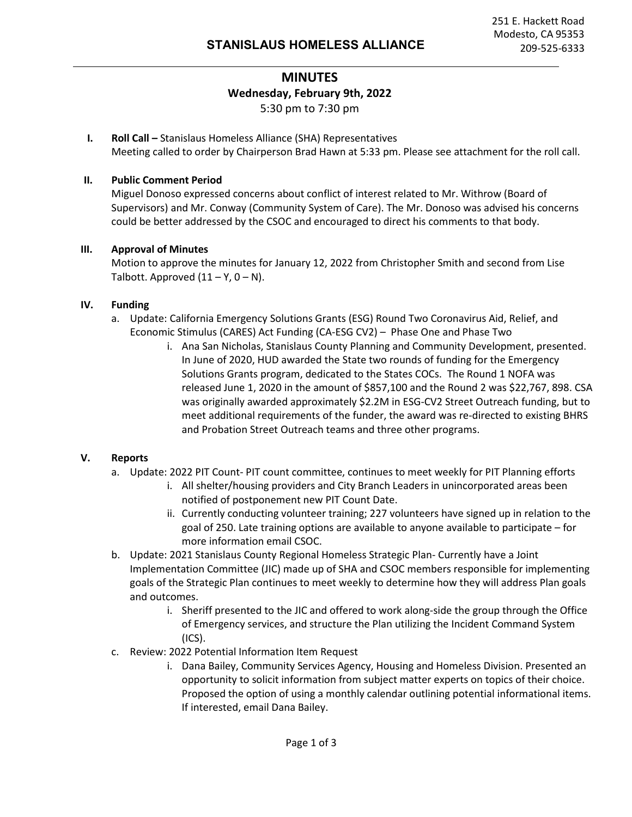# **MINUTES Wednesday, February 9th, 2022** 5:30 pm to 7:30 pm

**I. Roll Call –** Stanislaus Homeless Alliance (SHA) Representatives Meeting called to order by Chairperson Brad Hawn at 5:33 pm. Please see attachment for the roll call.

## **II. Public Comment Period**

Miguel Donoso expressed concerns about conflict of interest related to Mr. Withrow (Board of Supervisors) and Mr. Conway (Community System of Care). The Mr. Donoso was advised his concerns could be better addressed by the CSOC and encouraged to direct his comments to that body.

## **III. Approval of Minutes**

Motion to approve the minutes for January 12, 2022 from Christopher Smith and second from Lise Talbott. Approved  $(11 - Y, 0 - N)$ .

## **IV. Funding**

- a. Update: California Emergency Solutions Grants (ESG) Round Two Coronavirus Aid, Relief, and Economic Stimulus (CARES) Act Funding (CA-ESG CV2) – Phase One and Phase Two
	- i. Ana San Nicholas, Stanislaus County Planning and Community Development, presented. In June of 2020, HUD awarded the State two rounds of funding for the Emergency Solutions Grants program, dedicated to the States COCs. The Round 1 NOFA was released June 1, 2020 in the amount of \$857,100 and the Round 2 was \$22,767, 898. CSA was originally awarded approximately \$2.2M in ESG-CV2 Street Outreach funding, but to meet additional requirements of the funder, the award was re-directed to existing BHRS and Probation Street Outreach teams and three other programs.

#### **V. Reports**

- a. Update: 2022 PIT Count- PIT count committee, continues to meet weekly for PIT Planning efforts
	- i. All shelter/housing providers and City Branch Leaders in unincorporated areas been notified of postponement new PIT Count Date.
	- ii. Currently conducting volunteer training; 227 volunteers have signed up in relation to the goal of 250. Late training options are available to anyone available to participate – for more information email CSOC.
- b. Update: 2021 Stanislaus County Regional Homeless Strategic Plan- Currently have a Joint Implementation Committee (JIC) made up of SHA and CSOC members responsible for implementing goals of the Strategic Plan continues to meet weekly to determine how they will address Plan goals and outcomes.
	- i. Sheriff presented to the JIC and offered to work along-side the group through the Office of Emergency services, and structure the Plan utilizing the Incident Command System (ICS).
- c. Review: 2022 Potential Information Item Request
	- i. Dana Bailey, Community Services Agency, Housing and Homeless Division. Presented an opportunity to solicit information from subject matter experts on topics of their choice. Proposed the option of using a monthly calendar outlining potential informational items. If interested, email Dana Bailey.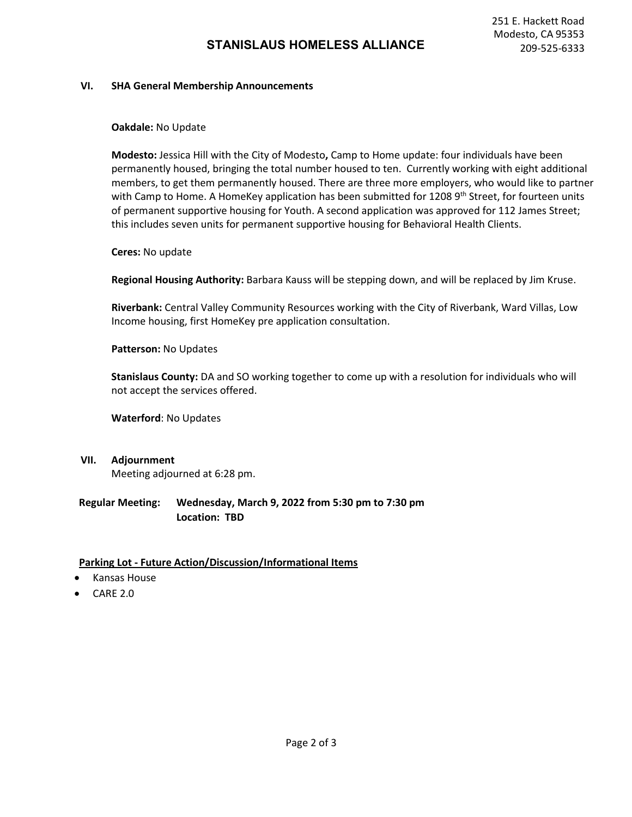#### **VI. SHA General Membership Announcements**

#### **Oakdale:** No Update

**Modesto:** Jessica Hill with the City of Modesto**,** Camp to Home update: four individuals have been permanently housed, bringing the total number housed to ten. Currently working with eight additional members, to get them permanently housed. There are three more employers, who would like to partner with Camp to Home. A HomeKey application has been submitted for 1208 9<sup>th</sup> Street, for fourteen units of permanent supportive housing for Youth. A second application was approved for 112 James Street; this includes seven units for permanent supportive housing for Behavioral Health Clients.

#### **Ceres:** No update

**Regional Housing Authority:** Barbara Kauss will be stepping down, and will be replaced by Jim Kruse.

**Riverbank:** Central Valley Community Resources working with the City of Riverbank, Ward Villas, Low Income housing, first HomeKey pre application consultation.

#### **Patterson:** No Updates

**Stanislaus County:** DA and SO working together to come up with a resolution for individuals who will not accept the services offered.

**Waterford**: No Updates

**VII. Adjournment** 

Meeting adjourned at 6:28 pm.

## **Regular Meeting: Wednesday, March 9, 2022 from 5:30 pm to 7:30 pm Location: TBD**

#### **Parking Lot - Future Action/Discussion/Informational Items**

- Kansas House
- CARE 2.0